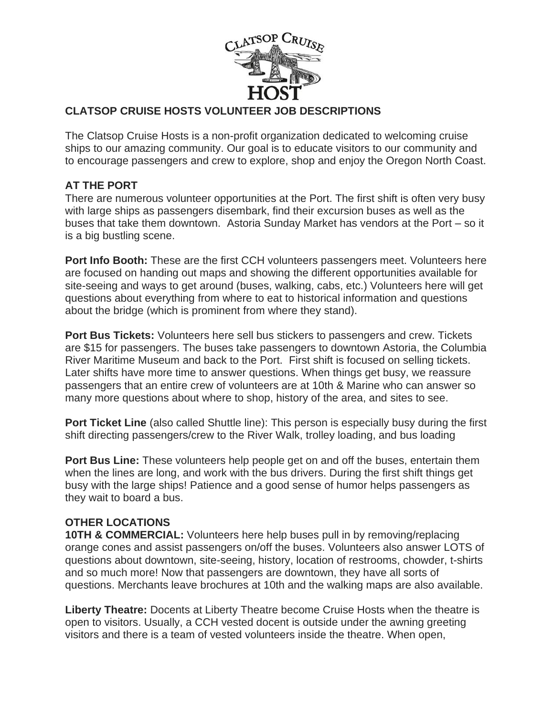

## **CLATSOP CRUISE HOSTS VOLUNTEER JOB DESCRIPTIONS**

The Clatsop Cruise Hosts is a non-profit organization dedicated to welcoming cruise ships to our amazing community. Our goal is to educate visitors to our community and to encourage passengers and crew to explore, shop and enjoy the Oregon North Coast.

## **AT THE PORT**

There are numerous volunteer opportunities at the Port. The first shift is often very busy with large ships as passengers disembark, find their excursion buses as well as the buses that take them downtown. Astoria Sunday Market has vendors at the Port – so it is a big bustling scene.

**Port Info Booth:** These are the first CCH volunteers passengers meet. Volunteers here are focused on handing out maps and showing the different opportunities available for site-seeing and ways to get around (buses, walking, cabs, etc.) Volunteers here will get questions about everything from where to eat to historical information and questions about the bridge (which is prominent from where they stand).

**Port Bus Tickets:** Volunteers here sell bus stickers to passengers and crew. Tickets are \$15 for passengers. The buses take passengers to downtown Astoria, the Columbia River Maritime Museum and back to the Port. First shift is focused on selling tickets. Later shifts have more time to answer questions. When things get busy, we reassure passengers that an entire crew of volunteers are at 10th & Marine who can answer so many more questions about where to shop, history of the area, and sites to see.

**Port Ticket Line** (also called Shuttle line): This person is especially busy during the first shift directing passengers/crew to the River Walk, trolley loading, and bus loading

**Port Bus Line:** These volunteers help people get on and off the buses, entertain them when the lines are long, and work with the bus drivers. During the first shift things get busy with the large ships! Patience and a good sense of humor helps passengers as they wait to board a bus.

## **OTHER LOCATIONS**

**10TH & COMMERCIAL:** Volunteers here help buses pull in by removing/replacing orange cones and assist passengers on/off the buses. Volunteers also answer LOTS of questions about downtown, site-seeing, history, location of restrooms, chowder, t-shirts and so much more! Now that passengers are downtown, they have all sorts of questions. Merchants leave brochures at 10th and the walking maps are also available.

**Liberty Theatre:** Docents at Liberty Theatre become Cruise Hosts when the theatre is open to visitors. Usually, a CCH vested docent is outside under the awning greeting visitors and there is a team of vested volunteers inside the theatre. When open,